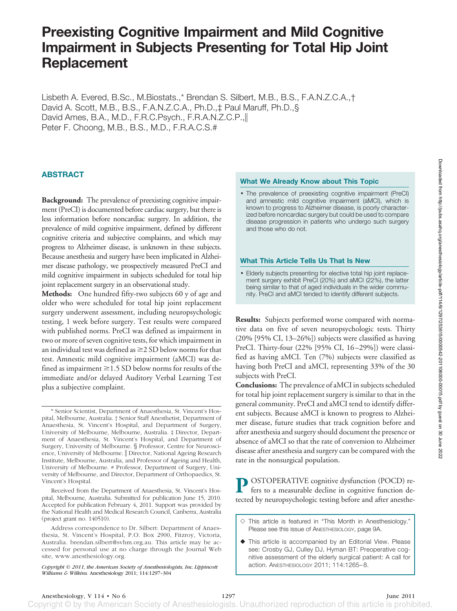# **Preexisting Cognitive Impairment and Mild Cognitive Impairment in Subjects Presenting for Total Hip Joint Replacement**

Lisbeth A. Evered, B.Sc., M.Biostats.,\* Brendan S. Silbert, M.B., B.S., F.A.N.Z.C.A.,† David A. Scott, M.B., B.S., F.A.N.Z.C.A., Ph.D.,‡ Paul Maruff, Ph.D.,§ David Ames, B.A., M.D., F.R.C.Psych., F.R.A.N.Z.C.P., Peter F. Choong, M.B., B.S., M.D., F.R.A.C.S.#

## **ABSTRACT**

**Background:** The prevalence of preexisting cognitive impairment (PreCI) is documented before cardiac surgery, but there is less information before noncardiac surgery. In addition, the prevalence of mild cognitive impairment, defined by different cognitive criteria and subjective complaints, and which may progress to Alzheimer disease, is unknown in these subjects. Because anesthesia and surgery have been implicated in Alzheimer disease pathology, we prospectively measured PreCI and mild cognitive impairment in subjects scheduled for total hip joint replacement surgery in an observational study.

**Methods:** One hundred fifty-two subjects 60 y of age and older who were scheduled for total hip joint replacement surgery underwent assessment, including neuropsychologic testing, 1 week before surgery. Test results were compared with published norms. PreCI was defined as impairment in two or more of seven cognitive tests, for which impairment in an individual test was defined as  $\geq$  2 SD below norms for that test. Amnestic mild cognitive impairment (aMCI) was defined as impairment  $\geq$  1.5 SD below norms for results of the immediate and/or delayed Auditory Verbal Learning Test plus a subjective complaint.

Received from the Department of Anaesthesia, St. Vincent's Hospital, Melbourne, Australia. Submitted for publication June 15, 2010. Accepted for publication February 4, 2011. Support was provided by the National Health and Medical Research Council, Canberra, Australia (project grant no. 140510).

## **What We Already Know about This Topic**

• The prevalence of preexisting cognitive impairment (PreCI) and amnestic mild cognitive impairment (aMCI), which is known to progress to Alzheimer disease, is poorly characterized before noncardiac surgery but could be used to compare disease progression in patients who undergo such surgery and those who do not.

#### **What This Article Tells Us That Is New**

• Elderly subjects presenting for elective total hip joint replacement surgery exhibit PreCI (20%) and aMCI (22%), the latter being similar to that of aged individuals in the wider community. PreCI and aMCI tended to identify different subjects.

**Results:** Subjects performed worse compared with normative data on five of seven neuropsychologic tests. Thirty (20% [95% CI, 13–26%]) subjects were classified as having PreCI. Thirty-four (22% [95% CI, 16-29%]) were classified as having aMCI. Ten (7%) subjects were classified as having both PreCI and aMCI, representing 33% of the 30 subjects with PreCI.

**Conclusions:** The prevalence of aMCI in subjects scheduled for total hip joint replacement surgery is similar to that in the general community. PreCI and aMCI tend to identify different subjects. Because aMCI is known to progress to Alzheimer disease, future studies that track cognition before and after anesthesia and surgery should document the presence or absence of aMCI so that the rate of conversion to Alzheimer disease after anesthesia and surgery can be compared with the rate in the nonsurgical population.

**P** OSTOPERATIVE cognitive dysfunction (POCD) refers to a measurable decline in cognitive function detected by neuropsychologic testing before and after anesthe-

- $\Diamond$  This article is featured in "This Month in Anesthesiology." Please see this issue of ANESTHESIOLOGY, page 9A.
- This article is accompanied by an Editorial View. Please see: Crosby GJ, Culley DJ, Hyman BT: Preoperative cognitive assessment of the elderly surgical patient: A call for action. ANESTHESIOLOGY 2011; 114:1265– 8.

<sup>\*</sup> Senior Scientist, Department of Anaesthesia, St. Vincent's Hospital, Melbourne, Australia. † Senior Staff Anesthetist, Department of Anaesthesia, St. Vincent's Hospital, and Department of Surgery, University of Melbourne, Melbourne, Australia. ‡ Director, Department of Anaesthesia, St. Vincent's Hospital, and Department of Surgery, University of Melbourne. § Professor, Centre for Neuroscience, University of Melbourne. || Director, National Ageing Research Institute, Melbourne, Australia, and Professor of Ageing and Health, University of Melbourne. # Professor, Department of Surgery, University of Melbourne, and Director, Department of Orthopaedics, St. Vincent's Hospital.

Address correspondence to Dr. Silbert: Department of Anaesthesia, St. Vincent's Hospital, P.O. Box 2900, Fitzroy, Victoria, Australia. brendan.silbert@svhm.org.au. This article may be accessed for personal use at no charge through the Journal Web site, www.anesthesiology.org.

*Copyright © 2011, the American Society of Anesthesiologists, Inc. Lippincott Williams & Wilkins.* Anesthesiology 2011; 114:1297–304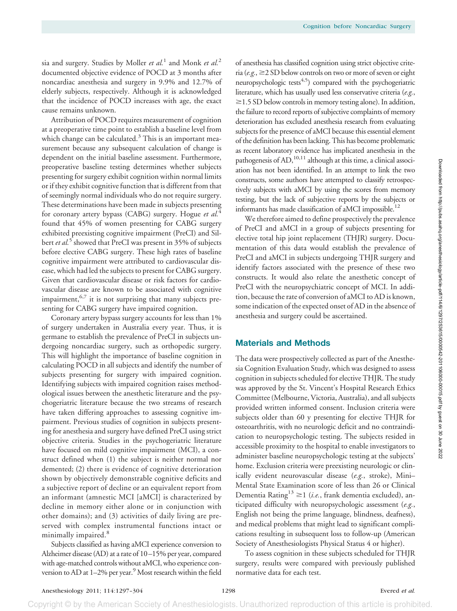sia and surgery. Studies by Moller *et al.*<sup>1</sup> and Monk *et al.*<sup>2</sup> documented objective evidence of POCD at 3 months after noncardiac anesthesia and surgery in 9.9% and 12.7% of elderly subjects, respectively. Although it is acknowledged that the incidence of POCD increases with age, the exact cause remains unknown.

Attribution of POCD requires measurement of cognition at a preoperative time point to establish a baseline level from which change can be calculated. $3$  This is an important measurement because any subsequent calculation of change is dependent on the initial baseline assessment. Furthermore, preoperative baseline testing determines whether subjects presenting for surgery exhibit cognition within normal limits or if they exhibit cognitive function that is different from that of seemingly normal individuals who do not require surgery. These determinations have been made in subjects presenting for coronary artery bypass (CABG) surgery. Hogue *et al.*<sup>4</sup> found that 45% of women presenting for CABG surgery exhibited preexisting cognitive impairment (PreCI) and Silbert *et al.*<sup>5</sup> showed that PreCI was present in 35% of subjects before elective CABG surgery. These high rates of baseline cognitive impairment were attributed to cardiovascular disease, which had led the subjects to present for CABG surgery. Given that cardiovascular disease or risk factors for cardiovascular disease are known to be associated with cognitive impairment,<sup>6,7</sup> it is not surprising that many subjects presenting for CABG surgery have impaired cognition.

Coronary artery bypass surgery accounts for less than 1% of surgery undertaken in Australia every year. Thus, it is germane to establish the prevalence of PreCI in subjects undergoing noncardiac surgery, such as orthopedic surgery. This will highlight the importance of baseline cognition in calculating POCD in all subjects and identify the number of subjects presenting for surgery with impaired cognition. Identifying subjects with impaired cognition raises methodological issues between the anesthetic literature and the psychogeriatric literature because the two streams of research have taken differing approaches to assessing cognitive impairment. Previous studies of cognition in subjects presenting for anesthesia and surgery have defined PreCI using strict objective criteria. Studies in the psychogeriatric literature have focused on mild cognitive impairment (MCI), a construct defined when (1) the subject is neither normal nor demented; (2) there is evidence of cognitive deterioration shown by objectively demonstrable cognitive deficits and a subjective report of decline or an equivalent report from an informant (amnestic MCI [aMCI] is characterized by decline in memory either alone or in conjunction with other domains); and (3) activities of daily living are preserved with complex instrumental functions intact or minimally impaired.<sup>8</sup>

Subjects classified as having aMCI experience conversion to Alzheimer disease (AD) at a rate of 10 –15% per year, compared with age-matched controls without aMCI, who experience conversion to AD at 1-2% per year.<sup>9</sup> Most research within the field of anesthesia has classified cognition using strict objective criteria (*e.g.*, 2 SD below controls on two or more of seven or eight neuropsychologic tests $4,5$ ) compared with the psychogeriatric literature, which has usually used less conservative criteria (*e.g.*,  $\geq$  1.5 SD below controls in memory testing alone). In addition, the failure to record reports of subjective complaints of memory deterioration has excluded anesthesia research from evaluating subjects for the presence of aMCI because this essential element of the definition has been lacking. This has become problematic as recent laboratory evidence has implicated anesthesia in the pathogenesis of AD,<sup>10,11</sup> although at this time, a clinical association has not been identified. In an attempt to link the two constructs, some authors have attempted to classify retrospectively subjects with aMCI by using the scores from memory testing, but the lack of subjective reports by the subjects or informants has made classification of aMCI impossible.<sup>12</sup>

We therefore aimed to define prospectively the prevalence of PreCI and aMCI in a group of subjects presenting for elective total hip joint replacement (THJR) surgery. Documentation of this data would establish the prevalence of PreCI and aMCI in subjects undergoing THJR surgery and identify factors associated with the presence of these two constructs. It would also relate the anesthetic concept of PreCI with the neuropsychiatric concept of MCI. In addition, because the rate of conversion of aMCI to AD is known, some indication of the expected onset of AD in the absence of anesthesia and surgery could be ascertained.

# **Materials and Methods**

The data were prospectively collected as part of the Anesthesia Cognition Evaluation Study, which was designed to assess cognition in subjects scheduled for elective THJR. The study was approved by the St. Vincent's Hospital Research Ethics Committee (Melbourne, Victoria, Australia), and all subjects provided written informed consent. Inclusion criteria were subjects older than 60 y presenting for elective THJR for osteoarthritis, with no neurologic deficit and no contraindication to neuropsychologic testing. The subjects resided in accessible proximity to the hospital to enable investigators to administer baseline neuropsychologic testing at the subjects' home. Exclusion criteria were preexisting neurologic or clinically evident neurovascular disease (*e.g.*, stroke), Mini– Mental State Examination score of less than 26 or Clinical Dementia Rating<sup>13</sup>  $\geq$ 1 (*i.e.*, frank dementia excluded), anticipated difficulty with neuropsychologic assessment (*e.g.*, English not being the prime language, blindness, deafness), and medical problems that might lead to significant complications resulting in subsequent loss to follow-up (American Society of Anesthesiologists Physical Status 4 or higher).

To assess cognition in these subjects scheduled for THJR surgery, results were compared with previously published normative data for each test.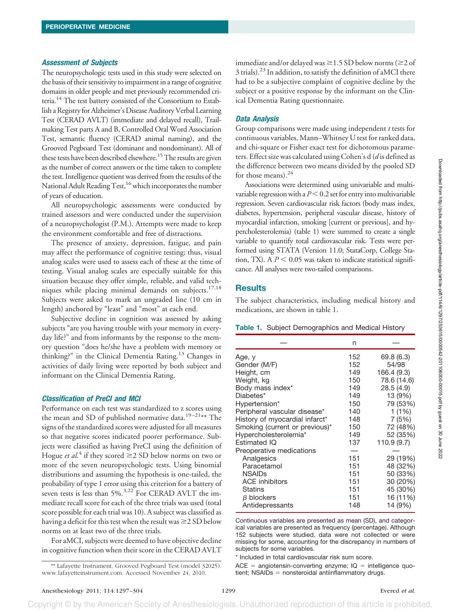## *Assessment of Subjects*

The neuropsychologic tests used in this study were selected on the basis of their sensitivity to impairment in a range of cognitive domains in older people and met previously recommended criteria.<sup>14</sup> The test battery consisted of the Consortium to Establish a Registryfor Alzheimer's Disease Auditory Verbal Learning Test (CERAD AVLT) (immediate and delayed recall), Trailmaking Test parts A and B, Controlled Oral Word Association Test, semantic fluency (CERAD animal naming), and the Grooved Pegboard Test (dominant and nondominant). All of these tests have been described elsewhere.<sup>15</sup> The results are given as the number of correct answers or the time taken to complete the test. Intelligence quotient was derived from the results of the National Adult Reading Test,<sup>16</sup> which incorporates the number of years of education.

All neuropsychologic assessments were conducted by trained assessors and were conducted under the supervision of a neuropsychologist (P.M.). Attempts were made to keep the environment comfortable and free of distractions.

The presence of anxiety, depression, fatigue, and pain may affect the performance of cognitive testing; thus, visual analog scales were used to assess each of these at the time of testing. Visual analog scales are especially suitable for this situation because they offer simple, reliable, and valid techniques while placing minimal demands on subjects.<sup>17,18</sup> Subjects were asked to mark an ungraded line (10 cm in length) anchored by "least" and "most" at each end.

Subjective decline in cognition was assessed by asking subjects "are you having trouble with your memory in everyday life?" and from informants by the response to the memory question "does he/she have a problem with memory or thinking?" in the Clinical Dementia Rating.<sup>13</sup> Changes in activities of daily living were reported by both subject and informant on the Clinical Dementia Rating.

## *Classification of PreCI and MCI*

Performance on each test was standardized to z scores using the mean and SD of published normative data.<sup>19-21\*\*</sup> The signs of the standardized scores were adjusted for all measures so that negative scores indicated poorer performance. Subjects were classified as having PreCI using the definition of Hogue *et al.*<sup>4</sup> if they scored  $\geq$  2 SD below norms on two or more of the seven neuropsychologic tests. Using binomial distributions and assuming the hypothesis is one-tailed, the probability of type 1 error using this criterion for a battery of seven tests is less than 5%.<sup>3,22</sup> For CERAD AVLT the immediate recall score for each of the three trials was used (total score possible for each trial was 10). A subject was classified as having a deficit for this test when the result was  $\geq$  2 SD below norms on at least two of the three trials.

For aMCI, subjects were deemed to have objective decline in cognitive function when their score in the CERAD AVLT

### *Data Analysis*

Group comparisons were made using independent *t* tests for continuous variables, Mann–Whitney U test for ranked data, and chi-square or Fisher exact test for dichotomous parameters. Effect size was calculated using Cohen's d (*d* is defined as the difference between two means divided by the pooled SD for those means). $24$ 

Associations were determined using univariable and multivariable regression with a  $P<0.2$  set for entry into multivariable regression. Seven cardiovascular risk factors (body mass index, diabetes, hypertension, peripheral vascular disease, history of myocardial infarction, smoking [current or previous], and hypercholesterolemia) (table 1) were summed to create a single variable to quantify total cardiovascular risk. Tests were performed using STATA (Version 11.0; StataCorp, College Station, TX). A  $P < 0.05$  was taken to indicate statistical significance. All analyses were two-tailed comparisons.

# **Results**

The subject characteristics, including medical history and medications, are shown in table 1.

#### **Table 1.** Subject Demographics and Medical History

|                                            | n   |             |
|--------------------------------------------|-----|-------------|
| Age, y                                     | 152 | 69.8 (6.3)  |
| Gender (M/F)                               | 152 | 54/98       |
| Height, cm                                 | 149 | 166.4 (9.3) |
| Weight, kg                                 | 150 | 78.6 (14.6) |
| Body mass index*                           | 149 | 28.5(4.9)   |
| Diabetes*                                  | 149 | 13 (9%)     |
| Hypertension*                              | 150 | 79 (53%)    |
| Peripheral vascular disease*               | 140 | 1(1%)       |
| History of myocardial infarct <sup>*</sup> | 148 | 7 (5%)      |
| Smoking (current or previous)*             | 150 | 72 (48%)    |
| Hypercholesterolemia*                      | 149 | 52 (35%)    |
| Estimated IQ                               | 137 | 110.9 (9.7) |
| Preoperative medications                   |     |             |
| Analgesics                                 | 151 | 29 (19%)    |
| Paracetamol                                | 151 | 48 (32%)    |
| <b>NSAIDs</b>                              | 151 | 50 (33%)    |
| <b>ACE</b> inhibitors                      | 151 | 30 (20%)    |
| Statins                                    | 151 | 45 (30%)    |
| $\beta$ blockers                           | 151 | 16 (11%)    |
| Antidepressants                            | 148 | 14 (9%)     |

Continuous variables are presented as mean (SD), and categorical variables are presented as frequency (percentage). Although 152 subjects were studied, data were not collected or were missing for some, accounting for the discrepancy in numbers of subjects for some variables.

\* Included in total cardiovascular risk sum score.

ACE = angiotensin-converting enzyme; IQ = intelligence quotient; NSAIDs = nonsteroidal antiinflammatory drugs.

<sup>\*\*</sup> Lafayette Instrument. Grooved Pegboard Test (model 32025). www.lafayetteinstrument.com. Accessed November 24, 2010.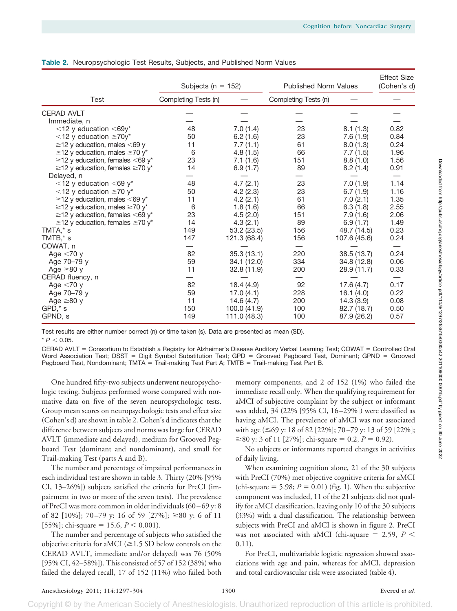|                                             | Subjects ( $n = 152$ ) |              | <b>Published Norm Values</b> |              | <b>Effect Size</b><br>(Cohen's d) |  |
|---------------------------------------------|------------------------|--------------|------------------------------|--------------|-----------------------------------|--|
| Test                                        | Completing Tests (n)   |              | Completing Tests (n)         |              |                                   |  |
| <b>CERAD AVLT</b>                           |                        |              |                              |              |                                   |  |
| Immediate, n                                |                        |              |                              |              |                                   |  |
| $<$ 12 y education $<$ 69y*                 | 48                     | 7.0(1.4)     | 23                           | 8.1(1.3)     | 0.82                              |  |
| $\leq$ 12 y education $\geq$ 70y*           | 50                     | 6.2(1.6)     | 23                           | 7.6(1.9)     | 0.84                              |  |
| $\geq$ 12 y education, males <69 y          | 11                     | 7.7(1.1)     | 61                           | 8.0(1.3)     | 0.24                              |  |
| $\geq$ 12 y education, males $\geq$ 70 y*   | 6                      | 4.8(1.5)     | 66                           | 7.7(1.5)     | 1.96                              |  |
| $\ge$ 12 y education, females <69 y*        | 23                     | 7.1(1.6)     | 151                          | 8.8(1.0)     | 1.56                              |  |
| $\geq$ 12 y education, females $\geq$ 70 y* | 14                     | 6.9(1.7)     | 89                           | 8.2(1.4)     | 0.91                              |  |
| Delayed, n                                  |                        |              |                              |              |                                   |  |
| $<$ 12 y education $<$ 69 y <sup>*</sup>    | 48                     | 4.7(2.1)     | 23                           | 7.0(1.9)     | 1.14                              |  |
| $<$ 12 y education $\geq$ 70 y <sup>*</sup> | 50                     | 4.2(2.3)     | 23                           | 6.7(1.9)     | 1.16                              |  |
| $\geq$ 12 y education, males <69 y*         | 11                     | 4.2(2.1)     | 61                           | 7.0(2.1)     | 1.35                              |  |
| $\ge$ 12 y education, males $\ge$ 70 y*     | 6                      | 1.8(1.6)     | 66                           | 6.3(1.8)     | 2.55                              |  |
| $\ge$ 12 y education, females <69 y*        | 23                     | 4.5(2.0)     | 151                          | 7.9(1.6)     | 2.06                              |  |
| $\geq$ 12 y education, females $\geq$ 70 y* | 14                     | 4.3(2.1)     | 89                           | 6.9(1.7)     | 1.49                              |  |
| TMTA,* s                                    | 149                    | 53.2 (23.5)  | 156                          | 48.7 (14.5)  | 0.23                              |  |
| TMTB,* s                                    | 147                    | 121.3 (68.4) | 156                          | 107.6 (45.6) | 0.24                              |  |
| COWAT, n                                    |                        |              |                              |              |                                   |  |
| Age $<$ 70 y                                | 82                     | 35.3(13.1)   | 220                          | 38.5 (13.7)  | 0.24                              |  |
| Age 70-79 y                                 | 59                     | 34.1 (12.0)  | 334                          | 34.8 (12.8)  | 0.06                              |  |
| Age $\geq 80$ y                             | 11                     | 32.8(11.9)   | 200                          | 28.9 (11.7)  | 0.33                              |  |
| CERAD fluency, n                            |                        |              |                              |              |                                   |  |
| Age $<$ 70 y                                | 82                     | 18.4(4.9)    | 92                           | 17.6(4.7)    | 0.17                              |  |
| Age 70-79 y                                 | 59                     | 17.0(4.1)    | 228                          | 16.1(4.0)    | 0.22                              |  |
| Age $\geq 80$ y                             | 11                     | 14.6(4.7)    | 200                          | 14.3(3.9)    | 0.08                              |  |
| GPD,* s                                     | 150                    | 100.0 (41.9) | 100                          | 82.7 (18.7)  | 0.50                              |  |
| GPND, s                                     | 149                    | 111.0 (48.3) | 100                          | 87.9 (26.2)  | 0.57                              |  |

#### **Table 2.** Neuropsychologic Test Results, Subjects, and Published Norm Values

Test results are either number correct (n) or time taken (s). Data are presented as mean (SD).

 $* P < 0.05$ 

CERAD AVLT = Consortium to Establish a Registry for Alzheimer's Disease Auditory Verbal Learning Test; COWAT = Controlled Oral Word Association Test; DSST = Digit Symbol Substitution Test; GPD = Grooved Pegboard Test, Dominant; GPND = Grooved Pegboard Test, Nondominant; TMTA = Trail-making Test Part A; TMTB = Trail-making Test Part B.

One hundred fifty-two subjects underwent neuropsychologic testing. Subjects performed worse compared with normative data on five of the seven neuropsychologic tests. Group mean scores on neuropsychologic tests and effect size (Cohen's d) are shown in table 2. Cohen's d indicates that the difference between subjects and norms was large for CERAD AVLT (immediate and delayed), medium for Grooved Pegboard Test (dominant and nondominant), and small for Trail-making Test (parts A and B).

The number and percentage of impaired performances in each individual test are shown in table 3. Thirty (20% [95% CI, 13–26%]) subjects satisfied the criteria for PreCI (impairment in two or more of the seven tests). The prevalence of PreCI was more common in older individuals (60 – 69 y: 8 of 82 [10%]; 70–79 y: 16 of 59 [27%];  $\geq 80$  y: 6 of 11 [55%]; chi-square = 15.6,  $P < 0.001$ ).

The number and percentage of subjects who satisfied the objective criteria for aMCI ( $\geq$ 1.5 SD below controls on the CERAD AVLT, immediate and/or delayed) was 76 (50% [95% CI, 42–58%]). This consisted of 57 of 152 (38%) who failed the delayed recall, 17 of 152 (11%) who failed both

memory components, and 2 of 152 (1%) who failed the immediate recall only. When the qualifying requirement for aMCI of subjective complaint by the subject or informant was added, 34 (22% [95% CI, 16 –29%]) were classified as having aMCI. The prevalence of aMCI was not associated with age (≤69 y: 18 of 82 [22%]; 70–79 y: 13 of 59 [22%];  $\geq 80$  y: 3 of 11 [27%]; chi-square = 0.2,  $P = 0.92$ ).

No subjects or informants reported changes in activities of daily living.

When examining cognition alone, 21 of the 30 subjects with PreCI (70%) met objective cognitive criteria for aMCI  $\text{(chi-square} = 5.98; P = 0.01) \text{ (fig. 1)}.$  When the subjective component was included, 11 of the 21 subjects did not qualify for aMCI classification, leaving only 10 of the 30 subjects (33%) with a dual classification. The relationship between subjects with PreCI and aMCI is shown in figure 2. PreCI was not associated with aMCI (chi-square  $=$  2.59,  $P$   $<$  $0.11$ ).

For PreCI, multivariable logistic regression showed associations with age and pain, whereas for aMCI, depression and total cardiovascular risk were associated (table 4).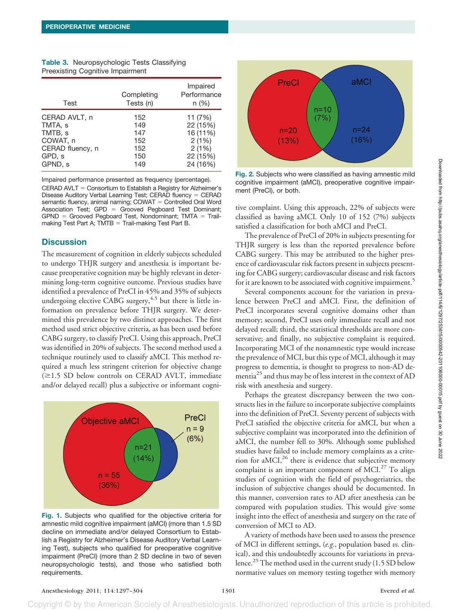| Test             | Completing<br>Tests (n) | Impaired<br>Performance<br>n(%) |
|------------------|-------------------------|---------------------------------|
| CERAD AVLT, n    | 152                     | 11 (7%)                         |
| TMTA, s          | 149                     | 22 (15%)                        |
| TMTB, s          | 147                     | 16 (11%)                        |
| COWAT, n         | 152                     | 2(1%)                           |
| CERAD fluency, n | 152                     | 2(1%)                           |
| GPD, s           | 150                     | 22 (15%)                        |
| GPND, s          | 149                     | 24 (16%)                        |

|                                         | <b>Table 3.</b> Neuropsychologic Tests Classifying |  |  |
|-----------------------------------------|----------------------------------------------------|--|--|
| <b>Preexisting Cognitive Impairment</b> |                                                    |  |  |

Impaired performance presented as frequency (percentage). CERAD AVLT = Consortium to Establish a Registry for Alzheimer's Disease Auditory Verbal Learning Test; CERAD fluency = CERAD semantic fluency, animal naming; COWAT = Controlled Oral Word Association Test; GPD = Grooved Pegboard Test Dominant;  $GPND =$  Grooved Pegboard Test, Nondominant; TMTA = Trailmaking Test Part A;  $TMTB = Trail-making Test Part B$ .

# **Discussion**

The measurement of cognition in elderly subjects scheduled to undergo THJR surgery and anesthesia is important because preoperative cognition may be highly relevant in determining long-term cognitive outcome. Previous studies have identified a prevalence of PreCI in 45% and 35% of subjects undergoing elective CABG surgery,  $4.5$  but there is little information on prevalence before THJR surgery. We determined this prevalence by two distinct approaches. The first method used strict objective criteria, as has been used before CABG surgery, to classify PreCI. Using this approach, PreCI was identified in 20% of subjects. The second method used a technique routinely used to classify aMCI. This method required a much less stringent criterion for objective change  $(\geq 1.5$  SD below controls on CERAD AVLT, immediate and/or delayed recall) plus a subjective or informant cogni-



**Fig. 1.** Subjects who qualified for the objective criteria for amnestic mild cognitive impairment (aMCI) (more than 1.5 SD decline on immediate and/or delayed Consortium to Establish a Registry for Alzheimer's Disease Auditory Verbal Learning Test), subjects who qualified for preoperative cognitive impairment (PreCI) (more than 2 SD decline in two of seven neuropsychologic tests), and those who satisfied both requirements.



**Fig. 2.** Subjects who were classified as having amnestic mild cognitive impairment (aMCI), preoperative cognitive impairment (PreCI), or both.

tive complaint. Using this approach, 22% of subjects were classified as having aMCI. Only 10 of 152 (7%) subjects satisfied a classification for both aMCI and PreCI.

The prevalence of PreCI of 20% in subjects presenting for THJR surgery is less than the reported prevalence before CABG surgery. This may be attributed to the higher presence of cardiovascular risk factors present in subjects presenting for CABG surgery; cardiovascular disease and risk factors for it are known to be associated with cognitive impairment.<sup>5</sup>

Several components account for the variation in prevalence between PreCI and aMCI. First, the definition of PreCI incorporates several cognitive domains other than memory; second, PreCI uses only immediate recall and not delayed recall; third, the statistical thresholds are more conservative; and finally, no subjective complaint is required. Incorporating MCI of the nonamnestic type would increase the prevalence of MCI, but this type of MCI, although it may progress to dementia, is thought to progress to non-AD dementia<sup>25</sup> and thus may be of less interest in the context of AD risk with anesthesia and surgery.

Perhaps the greatest discrepancy between the two constructs lies in the failure to incorporate subjective complaints into the definition of PreCI. Seventy percent of subjects with PreCI satisfied the objective criteria for aMCI, but when a subjective complaint was incorporated into the definition of aMCI, the number fell to 30%. Although some published studies have failed to include memory complaints as a criterion for aMCI,26 there is evidence that subjective memory complaint is an important component of MCI.<sup>27</sup> To align studies of cognition with the field of psychogeriatrics, the inclusion of subjective changes should be documented. In this manner, conversion rates to AD after anesthesia can be compared with population studies. This would give some insight into the effect of anesthesia and surgery on the rate of conversion of MCI to AD.

A variety of methods have been used to assess the presence of MCI in different settings, (*e.g.*, population based *vs.* clinical), and this undoubtedly accounts for variations in prevalence.<sup>25</sup> The method used in the current study (1.5 SD below normative values on memory testing together with memory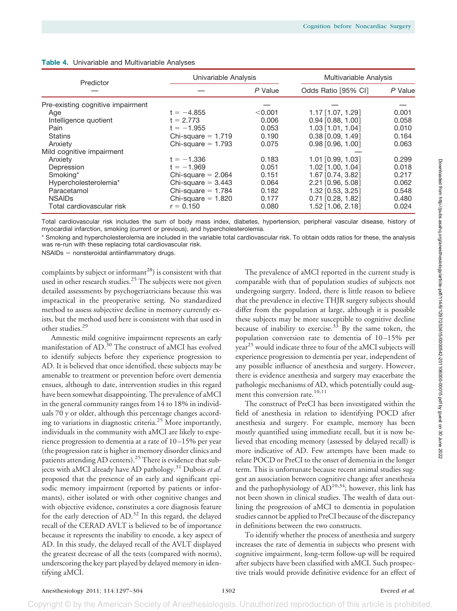| Predictor                         | Univariable Analysis |         |                       | Multivariable Analysis |  |
|-----------------------------------|----------------------|---------|-----------------------|------------------------|--|
|                                   |                      | P Value | Odds Ratio [95% CI]   | P Value                |  |
| Pre-existing cognitive impairment |                      |         |                       |                        |  |
| Age                               | $t = -4.855$         | < 0.001 | $1.17$ [1.07, 1.29]   | 0.001                  |  |
| Intelligence quotient             | $t = 2.773$          | 0.006   | $0.94$ [0.88, 1.00]   | 0.058                  |  |
| Pain                              | $t = -1.955$         | 0.053   | $1.03$ [1.01, 1.04]   | 0.010                  |  |
| Statins                           | Chi-square $= 1.719$ | 0.190   | $0.38$ $[0.09, 1.49]$ | 0.164                  |  |
| Anxiety                           | Chi-square $= 1.793$ | 0.075   | $0.98$ $[0.96, 1.00]$ | 0.063                  |  |
| Mild cognitive impairment         |                      |         |                       |                        |  |
| Anxiety                           | $t = -1.336$         | 0.183   | $1.01$ $[0.99, 1.03]$ | 0.299                  |  |
| Depression                        | $t = -1.969$         | 0.051   | $1.02$ [1.00, 1.04]   | 0.018                  |  |
| Smoking*                          | Chi-square $= 2.064$ | 0.151   | 1.67 [0.74, 3.82]     | 0.217                  |  |
| Hypercholesterolemia*             | Chi-square $= 3.443$ | 0.064   | 2.21 [0.96, 5.08]     | 0.062                  |  |
| Paracetamol                       | Chi-square $= 1.784$ | 0.182   | 1.32 [0.53, 3.25]     | 0.548                  |  |
| <b>NSAIDs</b>                     | Chi-square $= 1.820$ | 0.177   | $0.71$ [0.28, 1.82]   | 0.480                  |  |
| Total cardiovascular risk         | $r = 0.150$          | 0.080   | 1.52 [1.06, 2.18]     | 0.024                  |  |

## **Table 4.** Univariable and Multivariable Analyses

Total cardiovascular risk includes the sum of body mass index, diabetes, hypertension, peripheral vascular disease, history of myocardial infarction, smoking (current or previous), and hypercholesterolemia.

\* Smoking and hypercholesterolemia are included in the variable total cardiovascular risk. To obtain odds ratios for these, the analysis was re-run with these replacing total cardiovascular risk.

NSAIDs = nonsteroidal antiinflammatory drugs.

complaints by subject or informant<sup>28</sup>) is consistent with that used in other research studies.<sup>25</sup> The subjects were not given detailed assessments by psychogeriatricians because this was impractical in the preoperative setting. No standardized method to assess subjective decline in memory currently exists, but the method used here is consistent with that used in other studies.29

Amnestic mild cognitive impairment represents an early manifestation of AD.30 The construct of aMCI has evolved to identify subjects before they experience progression to AD. It is believed that once identified, these subjects may be amenable to treatment or prevention before overt dementia ensues, although to date, intervention studies in this regard have been somewhat disappointing. The prevalence of aMCI in the general community ranges from 14 to 18% in individuals 70 y or older, although this percentage changes according to variations in diagnostic criteria.25 More importantly, individuals in the community with aMCI are likely to experience progression to dementia at a rate of 10 –15% per year (the progression rate is higher in memory disorder clinics and patients attending AD centers).<sup>25</sup> There is evidence that subjects with aMCI already have AD pathology.<sup>31</sup> Dubois *et al.* proposed that the presence of an early and significant episodic memory impairment (reported by patients or informants), either isolated or with other cognitive changes and with objective evidence, constitutes a core diagnosis feature for the early detection of AD.<sup>32</sup> In this regard, the delayed recall of the CERAD AVLT is believed to be of importance because it represents the inability to encode, a key aspect of AD. In this study, the delayed recall of the AVLT displayed the greatest decrease of all the tests (compared with norms), underscoring the key part played by delayed memory in identifying aMCI.

The prevalence of aMCI reported in the current study is comparable with that of population studies of subjects not undergoing surgery. Indeed, there is little reason to believe that the prevalence in elective THJR surgery subjects should differ from the population at large, although it is possible these subjects may be more susceptible to cognitive decline because of inability to exercise. $33$  By the same token, the population conversion rate to dementia of 10 –15% per year<sup>25</sup> would indicate three to four of the aMCI subjects will experience progression to dementia per year, independent of any possible influence of anesthesia and surgery. However, there is evidence anesthesia and surgery may exacerbate the pathologic mechanisms of AD, which potentially could augment this conversion rate.<sup>10,11</sup>

The construct of PreCI has been investigated within the field of anesthesia in relation to identifying POCD after anesthesia and surgery. For example, memory has been mostly quantified using immediate recall, but it is now believed that encoding memory (assessed by delayed recall) is more indicative of AD. Few attempts have been made to relate POCD or PreCI to the onset of dementia in the longer term. This is unfortunate because recent animal studies suggest an association between cognitive change after anesthesia and the pathophysiology of  $AD^{10,34}$ ; however, this link has not been shown in clinical studies. The wealth of data outlining the progression of aMCI to dementia in population studies cannot be applied to PreCI because of the discrepancy in definitions between the two constructs.

To identify whether the process of anesthesia and surgery increases the rate of dementia in subjects who present with cognitive impairment, long-term follow-up will be required after subjects have been classified with aMCI. Such prospective trials would provide definitive evidence for an effect of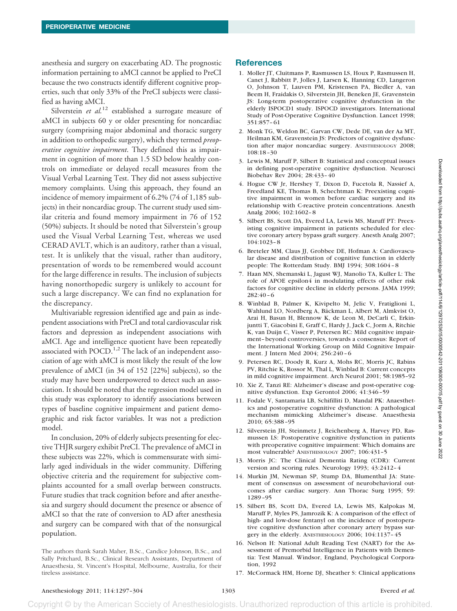anesthesia and surgery on exacerbating AD. The prognostic information pertaining to aMCI cannot be applied to PreCI because the two constructs identify different cognitive properties, such that only 33% of the PreCI subjects were classified as having aMCI.

Silverstein *et al.*<sup>12</sup> established a surrogate measure of aMCI in subjects 60 y or older presenting for noncardiac surgery (comprising major abdominal and thoracic surgery in addition to orthopedic surgery), which they termed *preoperative cognitive impairment*. They defined this as impairment in cognition of more than 1.5 SD below healthy controls on immediate or delayed recall measures from the Visual Verbal Learning Test. They did not assess subjective memory complaints. Using this approach, they found an incidence of memory impairment of 6.2% (74 of 1,185 subjects) in their noncardiac group. The current study used similar criteria and found memory impairment in 76 of 152 (50%) subjects. It should be noted that Silverstein's group used the Visual Verbal Learning Test, whereas we used CERAD AVLT, which is an auditory, rather than a visual, test. It is unlikely that the visual, rather than auditory, presentation of words to be remembered would account for the large difference in results. The inclusion of subjects having nonorthopedic surgery is unlikely to account for such a large discrepancy. We can find no explanation for the discrepancy.

Multivariable regression identified age and pain as independent associations with PreCI and total cardiovascular risk factors and depression as independent associations with aMCI. Age and intelligence quotient have been repeatedly associated with  $POCD<sup>1,2</sup>$ . The lack of an independent association of age with aMCI is most likely the result of the low prevalence of aMCI (in 34 of 152 [22%] subjects), so the study may have been underpowered to detect such an association. It should be noted that the regression model used in this study was exploratory to identify associations between types of baseline cognitive impairment and patient demographic and risk factor variables. It was not a prediction model.

In conclusion, 20% of elderly subjects presenting for elective THJR surgery exhibit PreCI. The prevalence of aMCI in these subjects was 22%, which is commensurate with similarly aged individuals in the wider community. Differing objective criteria and the requirement for subjective complaints accounted for a small overlap between constructs. Future studies that track cognition before and after anesthesia and surgery should document the presence or absence of aMCI so that the rate of conversion to AD after anesthesia and surgery can be compared with that of the nonsurgical population.

The authors thank Sarah Maher, B.Sc., Candice Johnson, B.Sc., and Sally Pritchard, B.Sc., Clinical Research Assistants, Department of Anaesthesia, St. Vincent's Hospital, Melbourne, Australia, for their tireless assistance.

# **References**

- 1. Moller JT, Cluitmans P, Rasmussen LS, Houx P, Rasmussen H, Canet J, Rabbitt P, Jolles J, Larsen K, Hanning CD, Langeron O, Johnson T, Lauven PM, Kristensen PA, Biedler A, van Beem H, Fraidakis O, Silverstein JH, Beneken JE, Gravenstein JS: Long-term postoperative cognitive dysfunction in the elderly ISPOCD1 study. ISPOCD investigators. International Study of Post-Operative Cognitive Dysfunction. Lancet 1998; 351:857– 61
- 2. Monk TG, Weldon BC, Garvan CW, Dede DE, van der Aa MT, Heilman KM, Gravenstein JS: Predictors of cognitive dysfunction after major noncardiac surgery. ANESTHESIOLOGY 2008; 108:18 –30
- 3. Lewis M, Maruff P, Silbert B: Statistical and conceptual issues in defining post-operative cognitive dysfunction. Neurosci Biobehav Rev 2004; 28:433– 40
- 4. Hogue CW Jr, Hershey T, Dixon D, Fucetola R, Nassief A, Freedland KE, Thomas B, Schechtman K: Preexisting cognitive impairment in women before cardiac surgery and its relationship with C-reactive protein concentrations. Anesth Analg 2006; 102:1602– 8
- 5. Silbert BS, Scott DA, Evered LA, Lewis MS, Maruff PT: Preexisting cognitive impairment in patients scheduled for elective coronary artery bypass graft surgery. Anesth Analg 2007; 104:1023– 8
- 6. Breteler MM, Claus JJ, Grobbee DE, Hofman A: Cardiovascular disease and distribution of cognitive function in elderly people: The Rotterdam Study. BMJ 1994; 308:1604 – 8
- 7. Haan MN, Shemanski L, Jagust WJ, Manolio TA, Kuller L: The role of APOE epsilon4 in modulating effects of other risk factors for cognitive decline in elderly persons. JAMA 1999; 282:40 – 6
- 8. Winblad B, Palmer K, Kivipelto M, Jelic V, Fratiglioni L, Wahlund LO, Nordberg A, Bäckman L, Albert M, Almkvist O, Arai H, Basun H, Blennow K, de Leon M, DeCarli C, Erkinjuntti T, Giacobini E, Graff C, Hardy J, Jack C, Jorm A, Ritchie K, van Duijn C, Visser P, Petersen RC: Mild cognitive impairment– beyond controversies, towards a consensus: Report of the International Working Group on Mild Cognitive Impairment. J Intern Med 2004; 256:240 – 6
- 9. Petersen RC, Doody R, Kurz A, Mohs RC, Morris JC, Rabins PV, Ritchie K, Rossor M, Thal L, Winblad B: Current concepts in mild cognitive impairment. Arch Neurol 2001; 58:1985–92
- 10. Xie Z, Tanzi RE: Alzheimer's disease and post-operative cognitive dysfunction. Exp Gerontol 2006; 41:346 –59
- 11. Fodale V, Santamaria LB, Schifilliti D, Mandal PK: Anaesthetics and postoperative cognitive dysfunction: A pathological mechanism mimicking Alzheimer's disease. Anaesthesia 2010; 65:388 –95
- 12. Silverstein JH, Steinmetz J, Reichenberg A, Harvey PD, Rasmussen LS: Postoperative cognitive dysfunction in patients with preoperative cognitive impairment: Which domains are most vulnerable? ANESTHESIOLOGY 2007; 106:431–5
- 13. Morris JC: The Clinical Dementia Rating (CDR): Current version and scoring rules. Neurology 1993; 43:2412– 4
- 14. Murkin JM, Newman SP, Stump DA, Blumenthal JA: Statement of consensus on assessment of neurobehavioral outcomes after cardiac surgery. Ann Thorac Surg 1995; 59: 1289 –95
- 15. Silbert BS, Scott DA, Evered LA, Lewis MS, Kalpokas M, Maruff P, Myles PS, Jamrozik K: A comparison of the effect of high- and low-dose fentanyl on the incidence of postoperative cognitive dysfunction after coronary artery bypass surgery in the elderly. ANESTHESIOLOGY 2006; 104:1137– 45
- 16. Nelson H: National Adult Reading Test (NART) for the Assessment of Premorbid Intelligence in Patients with Dementia: Test Manual. Windsor, England, Psychological Corporation, 1992
- 17. McCormack HM, Horne DJ, Sheather S: Clinical applications